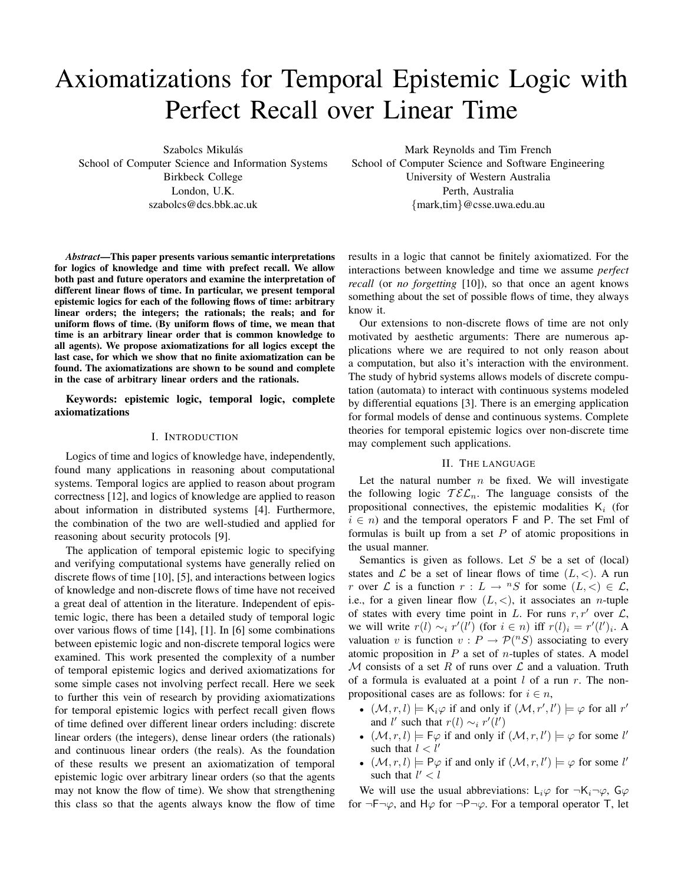# Axiomatizations for Temporal Epistemic Logic with Perfect Recall over Linear Time

Szabolcs Mikulás School of Computer Science and Information Systems Birkbeck College London, U.K. szabolcs@dcs.bbk.ac.uk

*Abstract*—This paper presents various semantic interpretations for logics of knowledge and time with prefect recall. We allow both past and future operators and examine the interpretation of different linear flows of time. In particular, we present temporal epistemic logics for each of the following flows of time: arbitrary linear orders; the integers; the rationals; the reals; and for uniform flows of time. (By uniform flows of time, we mean that time is an arbitrary linear order that is common knowledge to all agents). We propose axiomatizations for all logics except the last case, for which we show that no finite axiomatization can be found. The axiomatizations are shown to be sound and complete in the case of arbitrary linear orders and the rationals.

Keywords: epistemic logic, temporal logic, complete axiomatizations

#### I. INTRODUCTION

Logics of time and logics of knowledge have, independently, found many applications in reasoning about computational systems. Temporal logics are applied to reason about program correctness [12], and logics of knowledge are applied to reason about information in distributed systems [4]. Furthermore, the combination of the two are well-studied and applied for reasoning about security protocols [9].

The application of temporal epistemic logic to specifying and verifying computational systems have generally relied on discrete flows of time [10], [5], and interactions between logics of knowledge and non-discrete flows of time have not received a great deal of attention in the literature. Independent of epistemic logic, there has been a detailed study of temporal logic over various flows of time [14], [1]. In [6] some combinations between epistemic logic and non-discrete temporal logics were examined. This work presented the complexity of a number of temporal epistemic logics and derived axiomatizations for some simple cases not involving perfect recall. Here we seek to further this vein of research by providing axiomatizations for temporal epistemic logics with perfect recall given flows of time defined over different linear orders including: discrete linear orders (the integers), dense linear orders (the rationals) and continuous linear orders (the reals). As the foundation of these results we present an axiomatization of temporal epistemic logic over arbitrary linear orders (so that the agents may not know the flow of time). We show that strengthening this class so that the agents always know the flow of time

Mark Reynolds and Tim French School of Computer Science and Software Engineering University of Western Australia Perth, Australia {mark,tim}@csse.uwa.edu.au

results in a logic that cannot be finitely axiomatized. For the interactions between knowledge and time we assume *perfect recall* (or *no forgetting* [10]), so that once an agent knows something about the set of possible flows of time, they always know it.

Our extensions to non-discrete flows of time are not only motivated by aesthetic arguments: There are numerous applications where we are required to not only reason about a computation, but also it's interaction with the environment. The study of hybrid systems allows models of discrete computation (automata) to interact with continuous systems modeled by differential equations [3]. There is an emerging application for formal models of dense and continuous systems. Complete theories for temporal epistemic logics over non-discrete time may complement such applications.

#### II. THE LANGUAGE

Let the natural number  $n$  be fixed. We will investigate the following logic  $\mathcal{TEL}_n$ . The language consists of the propositional connectives, the epistemic modalities  $K_i$  (for  $i \in n$ ) and the temporal operators F and P. The set Fml of formulas is built up from a set  $P$  of atomic propositions in the usual manner.

Semantics is given as follows. Let  $S$  be a set of (local) states and  $\mathcal L$  be a set of linear flows of time  $(L, \langle \cdot \rangle)$ . A run r over L is a function  $r: L \to {}^nS$  for some  $(L, <) \in L$ , i.e., for a given linear flow  $(L, <)$ , it associates an *n*-tuple of states with every time point in L. For runs  $r, r'$  over  $\mathcal{L}$ , we will write  $r(l) \sim_i r'(l')$  (for  $i \in n$ ) iff  $r(l)_i = r'(l')_i$ . A valuation v is function  $v : P \to P(^nS)$  associating to every atomic proposition in  $P$  a set of *n*-tuples of states. A model  $M$  consists of a set R of runs over  $\mathcal L$  and a valuation. Truth of a formula is evaluated at a point  $l$  of a run  $r$ . The nonpropositional cases are as follows: for  $i \in n$ ,

- $(\mathcal{M}, r, l) \models \mathsf{K}_i \varphi$  if and only if  $(\mathcal{M}, r', l') \models \varphi$  for all  $r'$ and l' such that  $r(l) \sim_i r'(l')$
- $(\mathcal{M}, r, l) \models \mathsf{F}\varphi$  if and only if  $(\mathcal{M}, r, l') \models \varphi$  for some l' such that  $l < l'$
- $(\mathcal{M}, r, l) \models P\varphi$  if and only if  $(\mathcal{M}, r, l') \models \varphi$  for some l' such that  $l' < l$

We will use the usual abbreviations:  $L_i\varphi$  for  $\neg K_i\neg\varphi$ ,  $\mathsf{G}\varphi$ for  $\neg \mathsf{F} \neg \varphi$ , and  $\mathsf{H} \varphi$  for  $\neg \mathsf{P} \neg \varphi$ . For a temporal operator T, let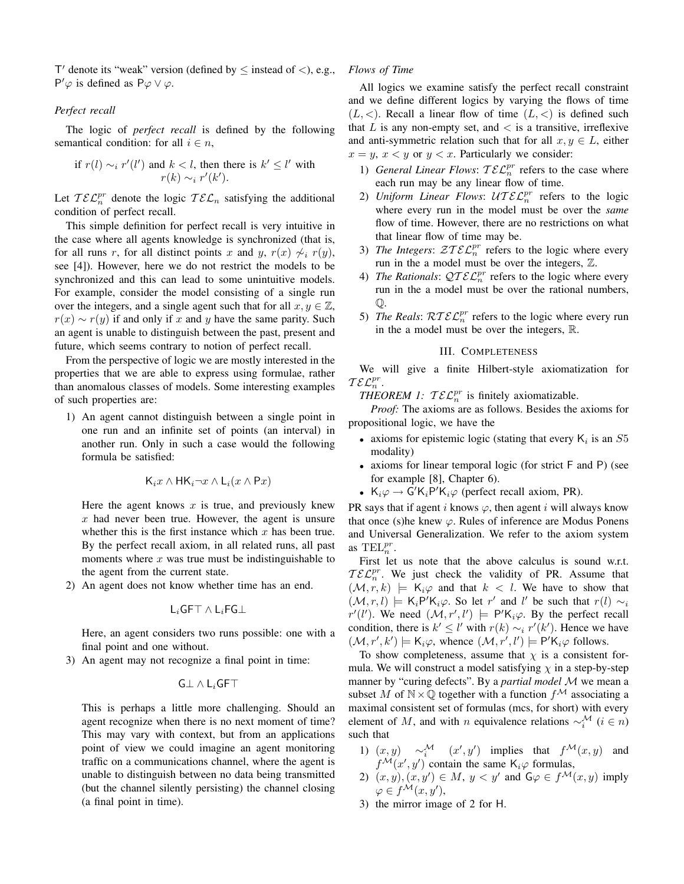T' denote its "weak" version (defined by  $\leq$  instead of  $\lt$ ), e.g., P' $\varphi$  is defined as P $\varphi \vee \varphi$ .

### *Perfect recall*

The logic of *perfect recall* is defined by the following semantical condition: for all  $i \in n$ ,

if 
$$
r(l) \sim_i r'(l')
$$
 and  $k < l$ , then there is  $k' \leq l'$  with  $r(k) \sim_i r'(k')$ .

Let  $\mathcal{TEL}_{n}^{pr}$  denote the logic  $\mathcal{TEL}_{n}$  satisfying the additional condition of perfect recall.

This simple definition for perfect recall is very intuitive in the case where all agents knowledge is synchronized (that is, for all runs r, for all distinct points x and y,  $r(x) \nless i r(y)$ , see [4]). However, here we do not restrict the models to be synchronized and this can lead to some unintuitive models. For example, consider the model consisting of a single run over the integers, and a single agent such that for all  $x, y \in \mathbb{Z}$ ,  $r(x) \sim r(y)$  if and only if x and y have the same parity. Such an agent is unable to distinguish between the past, present and future, which seems contrary to notion of perfect recall.

From the perspective of logic we are mostly interested in the properties that we are able to express using formulae, rather than anomalous classes of models. Some interesting examples of such properties are:

1) An agent cannot distinguish between a single point in one run and an infinite set of points (an interval) in another run. Only in such a case would the following formula be satisfied:

$$
\mathsf{K}_i x \wedge \mathsf{H}\mathsf{K}_i \neg x \wedge \mathsf{L}_i (x \wedge \mathsf{P} x)
$$

Here the agent knows  $x$  is true, and previously knew  $x$  had never been true. However, the agent is unsure whether this is the first instance which  $x$  has been true. By the perfect recall axiom, in all related runs, all past moments where  $x$  was true must be indistinguishable to the agent from the current state.

2) An agent does not know whether time has an end.

$$
\mathsf{L}_i\mathsf{GFT}\wedge \mathsf{L}_i\mathsf{FG}\bot
$$

Here, an agent considers two runs possible: one with a final point and one without.

3) An agent may not recognize a final point in time:

$$
\mathsf{G} \bot \land \mathsf{L}_i \mathsf{GFT}
$$

This is perhaps a little more challenging. Should an agent recognize when there is no next moment of time? This may vary with context, but from an applications point of view we could imagine an agent monitoring traffic on a communications channel, where the agent is unable to distinguish between no data being transmitted (but the channel silently persisting) the channel closing (a final point in time).

#### *Flows of Time*

All logics we examine satisfy the perfect recall constraint and we define different logics by varying the flows of time  $(L, <)$ . Recall a linear flow of time  $(L, <)$  is defined such that  $L$  is any non-empty set, and  $\langle$  is a transitive, irreflexive and anti-symmetric relation such that for all  $x, y \in L$ , either  $x = y$ ,  $x < y$  or  $y < x$ . Particularly we consider:

- 1) *General Linear Flows:*  $\mathcal{TEL}_n^{pr}$  refers to the case where each run may be any linear flow of time.
- 2) Uniform Linear Flows:  $\mathcal{U} \mathcal{I} \mathcal{E} \mathcal{L}_n^{pr}$  refers to the logic where every run in the model must be over the *same* flow of time. However, there are no restrictions on what that linear flow of time may be.
- 3) *The Integers:*  $\mathcal{Z} \mathcal{I} \mathcal{E} \mathcal{L}_n^{pr}$  refers to the logic where every run in the a model must be over the integers, Z.
- 4) *The Rationals:*  $Q \mathcal{TEL}_n^{pr}$  refers to the logic where every run in the a model must be over the rational numbers, Q.
- 5) *The Reals:*  $\mathcal{R} \mathcal{T} \mathcal{E} \mathcal{L}_n^{pr}$  refers to the logic where every run in the a model must be over the integers, R.

#### III. COMPLETENESS

We will give a finite Hilbert-style axiomatization for  $\mathcal{TEL}^{pr}_{n}$ .

*THEOREM 1:*  $\mathcal{TEL}_n^{pr}$  is finitely axiomatizable.

*Proof:* The axioms are as follows. Besides the axioms for propositional logic, we have the

- axioms for epistemic logic (stating that every  $K_i$  is an  $S5$ modality)
- axioms for linear temporal logic (for strict F and P) (see for example [8], Chapter 6).
- $K_i\varphi \to G'K_iP'K_i\varphi$  (perfect recall axiom, PR).

PR says that if agent i knows  $\varphi$ , then agent i will always know that once (s)he knew  $\varphi$ . Rules of inference are Modus Ponens and Universal Generalization. We refer to the axiom system as  $\text{TEL}_n^{pr}$ .

First let us note that the above calculus is sound w.r.t.  $\mathcal{TEL}_{n}^{pr}$ . We just check the validity of PR. Assume that  $(M, r, k) \models K_i \varphi$  and that  $k < l$ . We have to show that  $(\mathcal{M}, r, l) \models K_i P' K_i \varphi$ . So let r' and l' be such that  $r(l) \sim_i$  $r'(l')$ . We need  $(\mathcal{M}, r', l') \models P'K_i\varphi$ . By the perfect recall condition, there is  $k' \leq l'$  with  $r(k) \sim_i r'(k')$ . Hence we have  $(\mathcal{M}, r', k') \models K_i \varphi$ , whence  $(\mathcal{M}, r', l') \models P'K_i \varphi$  follows.

To show completeness, assume that  $\chi$  is a consistent formula. We will construct a model satisfying  $\chi$  in a step-by-step manner by "curing defects". By a *partial model* M we mean a subset M of  $N \times \mathbb{Q}$  together with a function  $f^{\mathcal{M}}$  associating a maximal consistent set of formulas (mcs, for short) with every element of M, and with n equivalence relations  $\sim_i^{\mathcal{M}}$  ( $i \in n$ ) such that

- 1)  $(x, y) \sim_i^{\mathcal{M}} (x', y')$  implies that  $f^{\mathcal{M}}(x, y)$  and  $f^{\mathcal{M}}(x', y')$  contain the same  $\mathsf{K}_i\varphi$  formulas,
- 2)  $(x, y), (x, y') \in M$ ,  $y < y'$  and  $\mathsf{G}\varphi \in f^{\mathcal{M}}(x, y)$  imply  $\varphi \in f^{\mathcal{M}}(x, y'),$
- 3) the mirror image of 2 for H.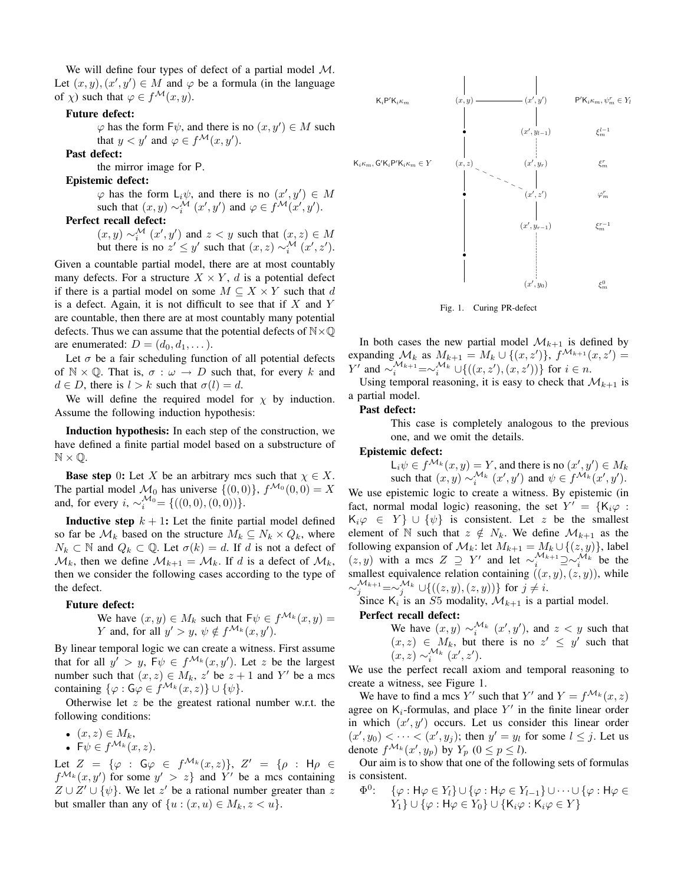We will define four types of defect of a partial model M. Let  $(x, y), (x', y') \in M$  and  $\varphi$  be a formula (in the language of  $\chi$ ) such that  $\varphi \in f^{\mathcal{M}}(x, y)$ .

## Future defect:

 $\varphi$  has the form  $F\psi$ , and there is no  $(x, y') \in M$  such that  $y < y'$  and  $\varphi \in f^{\mathcal{M}}(x, y')$ .

Past defect:

the mirror image for P.

Epistemic defect:

 $\varphi$  has the form  $L_i\psi$ , and there is no  $(x', y') \in M$ such that  $(x, y) \sim_i^{\mathcal{M}} (x', y')$  and  $\varphi \in f^{\mathcal{M}}(x', y')$ .

# Perfect recall defect:

 $(x, y) \sim_i^{\mathcal{M}} (x', y')$  and  $z < y$  such that  $(x, z) \in M$ but there is no  $z' \leq y'$  such that  $(x, z) \sim_i^{\mathcal{M}} (x', z')$ .

Given a countable partial model, there are at most countably many defects. For a structure  $X \times Y$ , d is a potential defect if there is a partial model on some  $M \subseteq X \times Y$  such that d is a defect. Again, it is not difficult to see that if  $X$  and  $Y$ are countable, then there are at most countably many potential defects. Thus we can assume that the potential defects of  $N \times \mathbb{Q}$ are enumerated:  $D = (d_0, d_1, \dots)$ .

Let  $\sigma$  be a fair scheduling function of all potential defects of  $\mathbb{N} \times \mathbb{Q}$ . That is,  $\sigma : \omega \to D$  such that, for every k and  $d \in D$ , there is  $l > k$  such that  $\sigma(l) = d$ .

We will define the required model for  $\chi$  by induction. Assume the following induction hypothesis:

Induction hypothesis: In each step of the construction, we have defined a finite partial model based on a substructure of  $\mathbb{N} \times \mathbb{Q}$ .

**Base step** 0: Let X be an arbitrary mcs such that  $\chi \in X$ . The partial model  $\mathcal{M}_0$  has universe  $\{(0,0)\}\,$ ,  $f^{\mathcal{M}_0}(0,0) = X$ and, for every  $i, \sim_i^{\mathcal{M}_0} = \{((0,0), (0,0))\}.$ 

**Inductive step**  $k + 1$ : Let the finite partial model defined so far be  $\mathcal{M}_k$  based on the structure  $M_k \subseteq N_k \times Q_k$ , where  $N_k \subset \mathbb{N}$  and  $Q_k \subset \mathbb{Q}$ . Let  $\sigma(k) = d$ . If d is not a defect of  $\mathcal{M}_k$ , then we define  $\mathcal{M}_{k+1} = \mathcal{M}_k$ . If d is a defect of  $\mathcal{M}_k$ , then we consider the following cases according to the type of the defect.

#### Future defect:

We have 
$$
(x, y) \in M_k
$$
 such that  $F\psi \in f^{\mathcal{M}_k}(x, y) = Y$  and, for all  $y' > y$ ,  $\psi \notin f^{\mathcal{M}_k}(x, y')$ .

By linear temporal logic we can create a witness. First assume that for all  $y' > y$ ,  $F\psi \in f^{\mathcal{M}_k}(x, y')$ . Let z be the largest number such that  $(x, z) \in M_k$ , z' be  $z + 1$  and Y' be a mcs containing  $\{\varphi : G\varphi \in f^{\mathcal{M}_k}(x,z)\} \cup \{\psi\}.$ 

Otherwise let  $z$  be the greatest rational number w.r.t. the following conditions:

- $(x, z) \in M_k$ ,
- $F\psi \in f^{\mathcal{M}_k}(x,z)$ .

Let  $Z = \{ \varphi : \mathsf{G} \varphi \in f^{\mathcal{M}_k}(x, z) \}, Z' = \{ \rho : \mathsf{H} \rho \in$  $f^{\mathcal{M}_k}(x, y')$  for some  $y' > z$  and Y' be a mcs containing  $Z \cup Z' \cup \{\psi\}$ . We let z' be a rational number greater than z but smaller than any of  $\{u : (x, u) \in M_k, z < u\}.$ 



Fig. 1. Curing PR-defect

In both cases the new partial model  $\mathcal{M}_{k+1}$  is defined by expanding  $\mathcal{M}_k$  as  $M_{k+1} = M_k \cup \{(x, z')\}, f^{\mathcal{M}_{k+1}}(x, z') =$ *Y*<sup>*i*</sup> and  $\sim_i^{M_{k+1}} = \sim_i^{M_k} \cup \{((x, z'), (x, z'))\}$  for *i* ∈ *n*.

Using temporal reasoning, it is easy to check that  $\mathcal{M}_{k+1}$  is a partial model.

#### Past defect:

This case is completely analogous to the previous one, and we omit the details.

#### Epistemic defect:

 $\mathsf{L}_{i}\psi \in f^{\mathcal{M}_{k}}(x,y) = Y$ , and there is no  $(x', y') \in M_{k}$ such that  $(x, y) \sim_i^{\mathcal{M}_k} (x', y')$  and  $\psi \in f^{\mathcal{M}_k}(x', y')$ .

We use epistemic logic to create a witness. By epistemic (in fact, normal modal logic) reasoning, the set  $Y' = \{K_i\varphi : S_i\}$  $K_i\varphi \in Y$   $\cup$   $\{\psi\}$  is consistent. Let z be the smallest element of N such that  $z \notin N_k$ . We define  $\mathcal{M}_{k+1}$  as the following expansion of  $\mathcal{M}_k$ : let  $M_{k+1} = M_k \cup \{(z, y)\}\)$ , label  $(z, y)$  with a mcs  $Z \supseteq Y'$  and let  $\sim_i^{\mathcal{M}_{k+1}} \supseteq \sim_i^{\mathcal{M}_k}$  be the smallest equivalence relation containing  $((x, y), (z, y))$ , while  $\sim_j^{\mathcal{M}_{k+1}} = \sim_j^{\mathcal{M}_k} \cup \{((z, y), (z, y))\}$  for  $j \neq i$ .

Since  $K_i$  is an S5 modality,  $\mathcal{M}_{k+1}$  is a partial model.

#### Perfect recall defect:

We have 
$$
(x, y) \sim_i^{\mathcal{M}_k} (x', y')
$$
, and  $z < y$  such that  $(x, z) \in M_k$ , but there is no  $z' \leq y'$  such that  $(x, z) \sim_i^{\mathcal{M}_k} (x', z')$ .

We use the perfect recall axiom and temporal reasoning to create a witness, see Figure 1.

We have to find a mcs Y' such that Y' and  $Y = f^{\mathcal{M}_k}(x, z)$ agree on  $K_i$ -formulas, and place  $Y'$  in the finite linear order in which  $(x', y')$  occurs. Let us consider this linear order  $(x', y_0) < \cdots < (x', y_j)$ ; then  $y' = y_l$  for some  $l \leq j$ . Let us denote  $f^{\mathcal{M}_k}(x', y_p)$  by  $Y_p$   $(0 \le p \le l)$ .

Our aim is to show that one of the following sets of formulas is consistent.

$$
\Phi^0: \quad \{\varphi : H\varphi \in Y_l\} \cup \{\varphi : H\varphi \in Y_{l-1}\} \cup \cdots \cup \{\varphi : H\varphi \in Y_1\} \cup \{\varphi : H\varphi \in Y_0\} \cup \{K_i\varphi : K_i\varphi \in Y\}
$$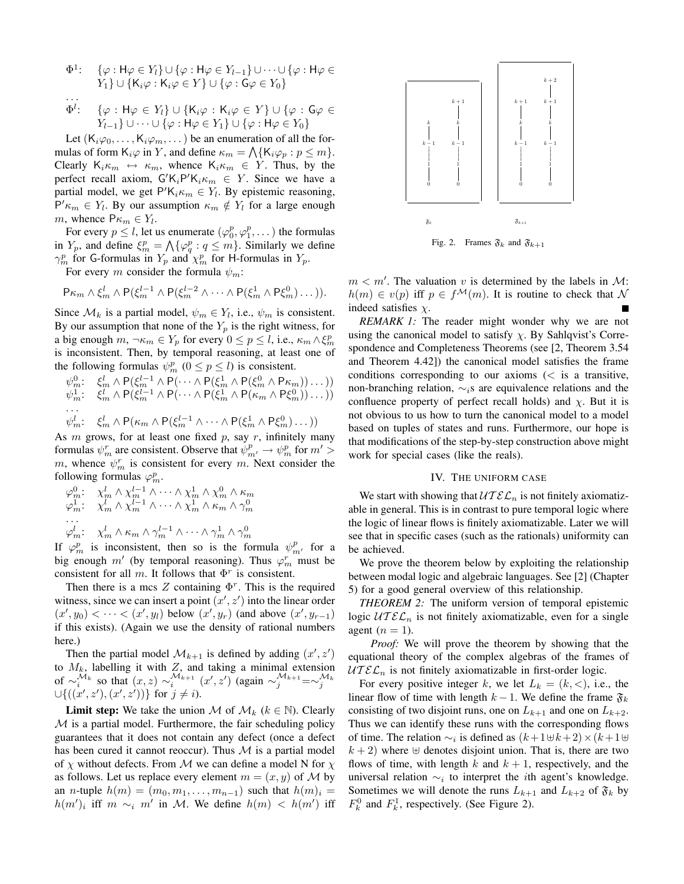$$
\Phi^1: \quad \{\varphi : H\varphi \in Y_l\} \cup \{\varphi : H\varphi \in Y_{l-1}\} \cup \cdots \cup \{\varphi : H\varphi \in Y_1\} \cup \{K_i\varphi : K_i\varphi \in Y\} \cup \{\varphi : G\varphi \in Y_0\}
$$

$$
\overrightarrow{\Phi'}:\quad \{\varphi:\mathsf{H}\varphi\in Y_l\}\cup\{\mathsf{K}_i\varphi:\mathsf{K}_i\varphi\in Y\}\cup\{\varphi:\mathsf{G}\varphi\in Y_{l-1}\}\cup\cdots\cup\{\varphi:\mathsf{H}\varphi\in Y_1\}\cup\{\varphi:\mathsf{H}\varphi\in Y_0\}
$$

Let  $(K_i\varphi_0, \ldots, K_i\varphi_m, \ldots)$  be an enumeration of all the formulas of form  $K_i\varphi$  in Y, and define  $\kappa_m = \bigwedge \{K_i\varphi_p : p \leq m\}.$ Clearly  $K_i \kappa_m \leftrightarrow \kappa_m$ , whence  $K_i \kappa_m \in Y$ . Thus, by the perfect recall axiom,  $G'K_iP'K_i\kappa_m \in Y$ . Since we have a partial model, we get  $P'K_i \kappa_m \in Y_l$ . By epistemic reasoning,  $P' \kappa_m \in Y_l$ . By our assumption  $\kappa_m \notin Y_l$  for a large enough m, whence  $P\kappa_m \in Y_l$ .

For every  $p \leq l$ , let us enumerate  $(\varphi_0^p, \varphi_1^p, \dots)$  the formulas in  $Y_p$ , and define  $\xi_m^p = \bigwedge \{\varphi_q^p : q \leq m\}$ . Similarly we define  $\gamma_m^p$  for G-formulas in  $Y_p$  and  $\chi_m^p$  for H-formulas in  $Y_p$ .

For every m consider the formula  $\psi_m$ :

$$
\mathsf{P}\kappa_m \wedge \xi_m^l \wedge \mathsf{P}(\xi_m^{l-1} \wedge \mathsf{P}(\xi_m^{l-2} \wedge \cdots \wedge \mathsf{P}(\xi_m^1 \wedge \mathsf{P}\xi_m^0) \dots)).
$$

Since  $\mathcal{M}_k$  is a partial model,  $\psi_m \in Y_l$ , i.e.,  $\psi_m$  is consistent. By our assumption that none of the  $Y_p$  is the right witness, for a big enough  $m, \neg \kappa_m \in Y_p$  for every  $0 \le p \le l$ , i.e.,  $\kappa_m \wedge \xi_m^p$ is inconsistent. Then, by temporal reasoning, at least one of the following formulas  $\psi_m^p$   $(0 \le p \le l)$  is consistent.

$$
\psi_m^0: \xi_m^l \wedge P(\xi_m^{l-1} \wedge P(\cdots \wedge P(\xi_m^1 \wedge P(\xi_m^0 \wedge P\kappa_m))\cdots))
$$
  
\n
$$
\psi_m^1: \xi_m^l \wedge P(\xi_m^{l-1} \wedge P(\cdots \wedge P(\xi_m^1 \wedge P(\kappa_m \wedge P\xi_m^0))\cdots))
$$
  
\n...  
\n
$$
\psi_m^l: \xi_m^l \wedge P(\kappa_m \wedge P(\xi_m^{l-1} \wedge \cdots \wedge P(\xi_m^1 \wedge P\xi_m^0)\cdots))
$$

As  $m$  grows, for at least one fixed  $p$ , say  $r$ , infinitely many formulas  $\psi_m^r$  are consistent. Observe that  $\psi_{m'}^p \to \psi_m^p$  for  $m' >$ m, whence  $\psi_m^r$  is consistent for every m. Next consider the following formulas  $\varphi_m^p$ .

$$
\varphi_m^0: \quad \chi_m^l \wedge \chi_m^{l-1} \wedge \cdots \wedge \chi_m^1 \wedge \chi_m^0 \wedge \kappa_m \n\varphi_n^1: \quad \chi_m^l \wedge \chi_m^{l-1} \wedge \cdots \wedge \chi_m^1 \wedge \kappa_m \wedge \gamma_m^0 \n\cdots \n\varphi_m^l: \quad \chi_m^l \wedge \kappa_m \wedge \gamma_m^{l-1} \wedge \cdots \wedge \gamma_m^1 \wedge \gamma_m^0
$$

If  $\varphi_m^p$  is inconsistent, then so is the formula  $\psi_{m'}^p$  for a big enough m' (by temporal reasoning). Thus  $\varphi_m^r$  must be consistent for all m. It follows that  $\Phi^r$  is consistent.

Then there is a mcs  $Z$  containing  $\Phi^r$ . This is the required witness, since we can insert a point  $(x', z')$  into the linear order  $(x', y_0) < \cdots < (x', y_l)$  below  $(x', y_r)$  (and above  $(x', y_{r-1})$ ) if this exists). (Again we use the density of rational numbers here.)

Then the partial model  $\mathcal{M}_{k+1}$  is defined by adding  $(x', z')$ to  $M_k$ , labelling it with  $Z$ , and taking a minimal extension of  $\sim_i^{\mathcal{M}_k}$  so that  $(x, z) \sim_i^{\mathcal{M}_{k+1}} (x', z')$  (again  $\sim_j^{\mathcal{M}_{k+1}} = \sim_j^{\mathcal{M}_k}$  $\cup \{((x', z'), (x', z'))\}$  for  $j \neq i$ ).

**Limit step:** We take the union M of  $\mathcal{M}_k$  ( $k \in \mathbb{N}$ ). Clearly  $M$  is a partial model. Furthermore, the fair scheduling policy guarantees that it does not contain any defect (once a defect has been cured it cannot reoccur). Thus  $M$  is a partial model of  $\chi$  without defects. From M we can define a model N for  $\chi$ as follows. Let us replace every element  $m = (x, y)$  of M by an *n*-tuple  $h(m) = (m_0, m_1, \ldots, m_{n-1})$  such that  $h(m)_i =$  $h(m')$ <sub>i</sub> iff  $m \sim_i m'$  in M. We define  $h(m) < h(m')$  iff



Fig. 2. Frames  $\mathfrak{F}_k$  and  $\mathfrak{F}_{k+1}$ 

 $m < m'$ . The valuation v is determined by the labels in M:  $h(m) \in v(p)$  iff  $p \in f^{\mathcal{M}}(m)$ . It is routine to check that N indeed satisfies  $\chi$ .

*REMARK 1:* The reader might wonder why we are not using the canonical model to satisfy  $\chi$ . By Sahlqvist's Correspondence and Completeness Theorems (see [2, Theorem 3.54 and Theorem 4.42]) the canonical model satisfies the frame conditions corresponding to our axioms  $\langle \, \cdot \, \rangle$  is a transitive, non-branching relation,  $\sim$ <sub>i</sub>s are equivalence relations and the confluence property of perfect recall holds) and  $\chi$ . But it is not obvious to us how to turn the canonical model to a model based on tuples of states and runs. Furthermore, our hope is that modifications of the step-by-step construction above might work for special cases (like the reals).

#### IV. THE UNIFORM CASE

We start with showing that  $\mathcal{U}\mathcal{T}\mathcal{E}\mathcal{L}_n$  is not finitely axiomatizable in general. This is in contrast to pure temporal logic where the logic of linear flows is finitely axiomatizable. Later we will see that in specific cases (such as the rationals) uniformity can be achieved.

We prove the theorem below by exploiting the relationship between modal logic and algebraic languages. See [2] (Chapter 5) for a good general overview of this relationship.

*THEOREM 2:* The uniform version of temporal epistemic logic  $\mathcal{U} \mathcal{I} \mathcal{E} \mathcal{L}_n$  is not finitely axiomatizable, even for a single agent  $(n = 1)$ .

*Proof:* We will prove the theorem by showing that the equational theory of the complex algebras of the frames of  $UTEL_n$  is not finitely axiomatizable in first-order logic.

For every positive integer k, we let  $L_k = (k, <)$ , i.e., the linear flow of time with length  $k - 1$ . We define the frame  $\mathfrak{F}_k$ consisting of two disjoint runs, one on  $L_{k+1}$  and one on  $L_{k+2}$ . Thus we can identify these runs with the corresponding flows of time. The relation  $\sim_i$  is defined as  $(k+1\,\forall k+2) \times (k+1\,\forall k)$  $k + 2$ ) where  $\oplus$  denotes disjoint union. That is, there are two flows of time, with length k and  $k + 1$ , respectively, and the universal relation  $\sim_i$  to interpret the *i*th agent's knowledge. Sometimes we will denote the runs  $L_{k+1}$  and  $L_{k+2}$  of  $\mathfrak{F}_k$  by  $F_k^0$  and  $F_k^1$ , respectively. (See Figure 2).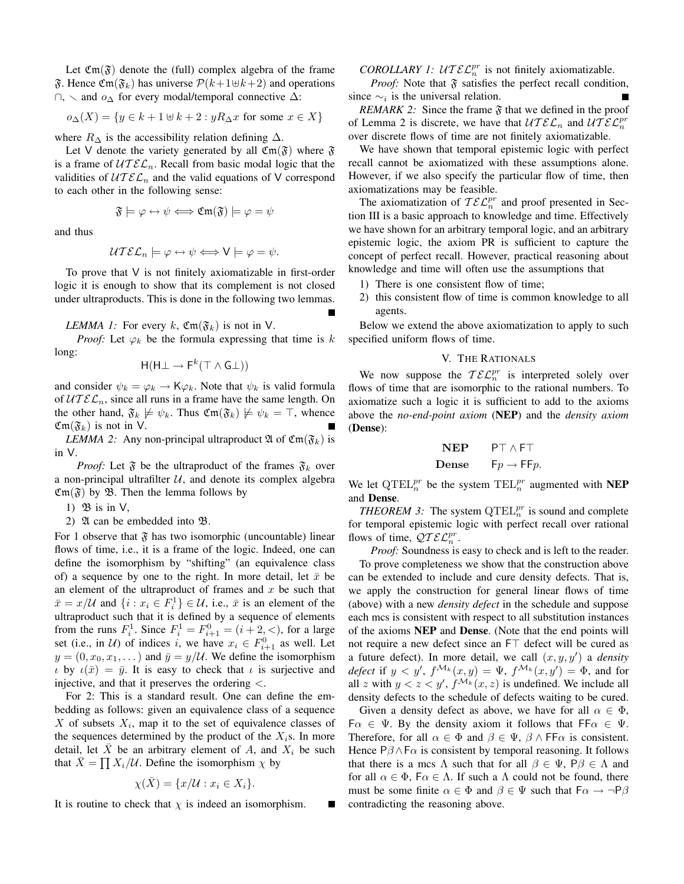Let  $\mathfrak{Cm}(\mathfrak{F})$  denote the (full) complex algebra of the frame  $\mathfrak{F}$ . Hence  $\mathfrak{Cm}(\mathfrak{F}_k)$  has universe  $\mathcal{P}(k+1\oplus k+2)$  and operations ∩,  $\sim$  and  $o_{\Delta}$  for every modal/temporal connective  $\Delta$ :

$$
o_{\Delta}(X) = \{ y \in k + 1 \oplus k + 2 : yR_{\Delta}x \text{ for some } x \in X \}
$$

where  $R_{\Delta}$  is the accessibility relation defining  $\Delta$ .

Let V denote the variety generated by all  $\mathfrak{Em}(\mathfrak{F})$  where  $\mathfrak{F}$ is a frame of  $\mathcal{U} \mathcal{I} \mathcal{E} \mathcal{L}_n$ . Recall from basic modal logic that the validities of  $\mathcal{U} \mathcal{I} \mathcal{E} \mathcal{L}_n$  and the valid equations of V correspond to each other in the following sense:

$$
\mathfrak{F}\models\varphi\leftrightarrow\psi\Longleftrightarrow\mathfrak{Cm}(\mathfrak{F})\models\varphi=\psi
$$

and thus

$$
\mathcal{U} \mathcal{I} \mathcal{E} \mathcal{L}_n \models \varphi \leftrightarrow \psi \Longleftrightarrow V \models \varphi = \psi.
$$

To prove that V is not finitely axiomatizable in first-order logic it is enough to show that its complement is not closed under ultraproducts. This is done in the following two lemmas.

*LEMMA 1:* For every k,  $\mathfrak{Cm}(\mathfrak{F}_k)$  is not in V.

*Proof:* Let  $\varphi_k$  be the formula expressing that time is k long:

$$
\mathsf{H}(\mathsf{H}\bot \to \mathsf{F}^k(\top \wedge \mathsf{G}\bot))
$$

and consider  $\psi_k = \varphi_k \to \mathsf{K} \varphi_k$ . Note that  $\psi_k$  is valid formula of  $UTEL_n$ , since all runs in a frame have the same length. On the other hand,  $\mathfrak{F}_k \not\models \psi_k$ . Thus  $\mathfrak{Cm}(\mathfrak{F}_k) \not\models \psi_k = \top$ , whence  $\mathfrak{Cm}(\mathfrak{F}_k)$  is not in V.

*LEMMA 2:* Any non-principal ultraproduct  $\mathfrak{A}$  of  $\mathfrak{Cm}(\mathfrak{F}_k)$  is in V.

*Proof:* Let  $\mathfrak{F}$  be the ultraproduct of the frames  $\mathfrak{F}_k$  over a non-principal ultrafilter  $U$ , and denote its complex algebra  $\mathfrak{Cm}(\mathfrak{F})$  by  $\mathfrak{B}$ . Then the lemma follows by

1)  $\mathfrak{B}$  is in  $V$ ,

2)  $\mathfrak A$  can be embedded into  $\mathfrak B$ .

For 1 observe that  $\mathfrak{F}$  has two isomorphic (uncountable) linear flows of time, i.e., it is a frame of the logic. Indeed, one can define the isomorphism by "shifting" (an equivalence class of) a sequence by one to the right. In more detail, let  $\bar{x}$  be an element of the ultraproduct of frames and  $x$  be such that  $\bar{x} = x/\mathcal{U}$  and  $\{i : x_i \in F_i^1\} \in \mathcal{U}$ , i.e.,  $\bar{x}$  is an element of the ultraproduct such that it is defined by a sequence of elements from the runs  $F_i^1$ . Since  $F_i^1 = F_{i+1}^0 = (i + 2, <)$ , for a large set (i.e., in *U*) of indices *i*, we have  $x_i \in F_{i+1}^0$  as well. Let  $y = (0, x_0, x_1, \dots)$  and  $\bar{y} = y/\mathcal{U}$ . We define the isomorphism  $\iota$  by  $\iota(\bar{x}) = \bar{y}$ . It is easy to check that  $\iota$  is surjective and injective, and that it preserves the ordering  $\lt$ .

For 2: This is a standard result. One can define the embedding as follows: given an equivalence class of a sequence  $X$  of subsets  $X_i$ , map it to the set of equivalence classes of the sequences determined by the product of the  $X_i$ s. In more detail, let  $\overline{X}$  be an arbitrary element of A, and  $X_i$  be such that  $\bar{X} = \prod X_i/\mathcal{U}$ . Define the isomorphism  $\chi$  by

$$
\chi(\bar{X}) = \{x/\mathcal{U} : x_i \in X_i\}.
$$

It is routine to check that  $\chi$  is indeed an isomorphism.

*COROLLARY 1: UT* $\mathcal{EL}_n^{pr}$  is not finitely axiomatizable.

*Proof:* Note that  $\mathfrak F$  satisfies the perfect recall condition, since  $\sim_i$  is the universal relation.

*REMARK 2:* Since the frame  $\mathfrak F$  that we defined in the proof of Lemma 2 is discrete, we have that  $\mathcal{U} \mathcal{I} \mathcal{E} \mathcal{L}_n$  and  $\mathcal{U} \mathcal{I} \mathcal{E} \mathcal{L}_n^{pr}$ over discrete flows of time are not finitely axiomatizable.

We have shown that temporal epistemic logic with perfect recall cannot be axiomatized with these assumptions alone. However, if we also specify the particular flow of time, then axiomatizations may be feasible.

The axiomatization of  $\mathcal{TEL}_n^{pr}$  and proof presented in Section III is a basic approach to knowledge and time. Effectively we have shown for an arbitrary temporal logic, and an arbitrary epistemic logic, the axiom PR is sufficient to capture the concept of perfect recall. However, practical reasoning about knowledge and time will often use the assumptions that

- 1) There is one consistent flow of time;
- 2) this consistent flow of time is common knowledge to all agents.

Below we extend the above axiomatization to apply to such specified uniform flows of time.

#### V. THE RATIONALS

We now suppose the  $\mathcal{TEL}_n^{pr}$  is interpreted solely over flows of time that are isomorphic to the rational numbers. To axiomatize such a logic it is sufficient to add to the axioms above the *no-end-point axiom* (NEP) and the *density axiom* (Dense):

| NEP   | $P \top \wedge F \top$ |
|-------|------------------------|
| Dense | $Fp \rightarrow Ffp$   |

We let  $\mathrm{QTEL}_n^{pr}$  be the system  $\mathrm{TEL}_n^{pr}$  augmented with **NEP** and Dense.

*THEOREM 3:* The system  $\mathrm{QTEL}_n^{pr}$  is sound and complete for temporal epistemic logic with perfect recall over rational flows of time,  $\mathcal{Q} \mathcal{I} \mathcal{E} \mathcal{L}_n^{pr}$ .

*Proof:* Soundness is easy to check and is left to the reader. To prove completeness we show that the construction above can be extended to include and cure density defects. That is, we apply the construction for general linear flows of time (above) with a new *density defect* in the schedule and suppose each mcs is consistent with respect to all substitution instances of the axioms NEP and Dense. (Note that the end points will not require a new defect since an  $FT$  defect will be cured as a future defect). In more detail, we call  $(x, y, y')$  a *density defect* if  $y < y'$ ,  $f^{\mathcal{M}_k}(x, y) = \Psi$ ,  $f^{\mathcal{M}_k}(x, y') = \Phi$ , and for all z with  $y < z < y'$ ,  $f^{\mathcal{M}_k}(x, z)$  is undefined. We include all density defects to the schedule of defects waiting to be cured.

Given a density defect as above, we have for all  $\alpha \in \Phi$ ,  $F\alpha \in \Psi$ . By the density axiom it follows that  $F\beta \in \Psi$ . Therefore, for all  $\alpha \in \Phi$  and  $\beta \in \Psi$ ,  $\beta \wedge \text{FF}\alpha$  is consistent. Hence  $P\beta \wedge F\alpha$  is consistent by temporal reasoning. It follows that there is a mcs  $\Lambda$  such that for all  $\beta \in \Psi$ ,  $P\beta \in \Lambda$  and for all  $\alpha \in \Phi$ ,  $F\alpha \in \Lambda$ . If such a  $\Lambda$  could not be found, there must be some finite  $\alpha \in \Phi$  and  $\beta \in \Psi$  such that  $F\alpha \to \neg P\beta$ contradicting the reasoning above.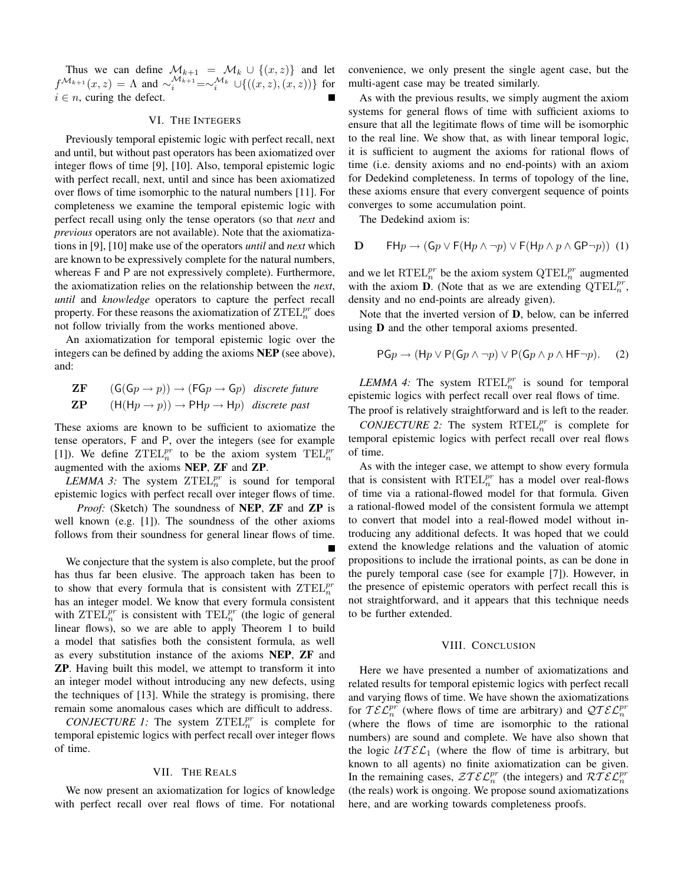Thus we can define  $\mathcal{M}_{k+1} = \mathcal{M}_k \cup \{(x, z)\}\$ and let  $f^{\mathcal{M}_{k+1}}(x, z) = \Lambda$  and  $\sim_i^{\mathcal{M}_{k+1}} = \sim_i^{\mathcal{M}_k} \cup \{((x, z), (x, z))\}$  for  $i \in n$ , curing the defect.

#### VI. THE INTEGERS

Previously temporal epistemic logic with perfect recall, next and until, but without past operators has been axiomatized over integer flows of time [9], [10]. Also, temporal epistemic logic with perfect recall, next, until and since has been axiomatized over flows of time isomorphic to the natural numbers [11]. For completeness we examine the temporal epistemic logic with perfect recall using only the tense operators (so that *next* and *previous* operators are not available). Note that the axiomatizations in [9], [10] make use of the operators *until* and *next* which are known to be expressively complete for the natural numbers, whereas F and P are not expressively complete). Furthermore, the axiomatization relies on the relationship between the *next*, *until* and *knowledge* operators to capture the perfect recall property. For these reasons the axiomatization of  $\overline{Z}\text{TEL}_n^{pr}$  does not follow trivially from the works mentioned above.

An axiomatization for temporal epistemic logic over the integers can be defined by adding the axioms NEP (see above), and:

**ZF** 
$$
(G(Gp \rightarrow p)) \rightarrow (FGp \rightarrow Gp)
$$
 *discrete future*  
\n**ZP**  $(H(Hp \rightarrow p)) \rightarrow PHp \rightarrow Hp)$  *discrete past*

These axioms are known to be sufficient to axiomatize the tense operators, F and P, over the integers (see for example [1]). We define  $ZTEL_n^{pr}$  to be the axiom system  $TEL_n^{pr}$ augmented with the axioms NEP, ZF and ZP.

*LEMMA 3:* The system  $ZTEL_n^{pr}$  is sound for temporal epistemic logics with perfect recall over integer flows of time.

*Proof:* (Sketch) The soundness of **NEP**, **ZF** and **ZP** is well known (e.g. [1]). The soundness of the other axioms follows from their soundness for general linear flows of time.

We conjecture that the system is also complete, but the proof has thus far been elusive. The approach taken has been to to show that every formula that is consistent with  $\mathrm{ZTEL}_n^{pr}$ has an integer model. We know that every formula consistent with  $\text{ZTEL}_n^{pr}$  is consistent with  $\text{TEL}_n^{pr}$  (the logic of general linear flows), so we are able to apply Theorem 1 to build a model that satisfies both the consistent formula, as well as every substitution instance of the axioms NEP, ZF and ZP. Having built this model, we attempt to transform it into an integer model without introducing any new defects, using the techniques of [13]. While the strategy is promising, there remain some anomalous cases which are difficult to address.

*CONJECTURE 1:* The system  $ZTEL_n^{pr}$  is complete for temporal epistemic logics with perfect recall over integer flows of time.

#### VII. THE REALS

We now present an axiomatization for logics of knowledge with perfect recall over real flows of time. For notational convenience, we only present the single agent case, but the multi-agent case may be treated similarly.

As with the previous results, we simply augment the axiom systems for general flows of time with sufficient axioms to ensure that all the legitimate flows of time will be isomorphic to the real line. We show that, as with linear temporal logic, it is sufficient to augment the axioms for rational flows of time (i.e. density axioms and no end-points) with an axiom for Dedekind completeness. In terms of topology of the line, these axioms ensure that every convergent sequence of points converges to some accumulation point.

The Dedekind axiom is:

of time.

**D** 
$$
\mathsf{FH} p \to (\mathsf{G} p \lor \mathsf{F} (\mathsf{H} p \land \neg p) \lor \mathsf{F} (\mathsf{H} p \land p \land \mathsf{G} \mathsf{P} \neg p)) \tag{1}
$$

and we let  $\operatorname{RTEL}_n^{pr}$  be the axiom system  $\operatorname{QTEL}_n^{pr}$  augmented with the axiom **D**. (Note that as we are extending  $\mathrm{QTEL}_{n}^{pr}$ , density and no end-points are already given).

Note that the inverted version of D, below, can be inferred using D and the other temporal axioms presented.

PG<sub>p</sub> 
$$
\rightarrow
$$
 (H<sub>p</sub>  $\vee$  P(G<sub>p</sub>  $\wedge \neg p$ )  $\vee$  P(G<sub>p</sub>  $\wedge$   $p$   $\wedge$  HF $\neg$ <sub>p</sub>). (2)

 $LEMMA$  4: The system  $\mathrm{RTEL}_n^{pr}$  is sound for temporal epistemic logics with perfect recall over real flows of time.

The proof is relatively straightforward and is left to the reader.  $CONJECTURE 2$ : The system  $\mathrm{RTEL}_n^{pr}$  is complete for temporal epistemic logics with perfect recall over real flows

As with the integer case, we attempt to show every formula that is consistent with  $\text{RTEL}_n^{pr}$  has a model over real-flows of time via a rational-flowed model for that formula. Given a rational-flowed model of the consistent formula we attempt to convert that model into a real-flowed model without introducing any additional defects. It was hoped that we could extend the knowledge relations and the valuation of atomic propositions to include the irrational points, as can be done in the purely temporal case (see for example [7]). However, in the presence of epistemic operators with perfect recall this is not straightforward, and it appears that this technique needs to be further extended.

#### VIII. CONCLUSION

Here we have presented a number of axiomatizations and related results for temporal epistemic logics with perfect recall and varying flows of time. We have shown the axiomatizations for  $\mathcal{TEL}_n^{pr}$  (where flows of time are arbitrary) and  $\mathcal{QTEL}_n^{pr}$ (where the flows of time are isomorphic to the rational numbers) are sound and complete. We have also shown that the logic  $\mathcal{U} \mathcal{I} \mathcal{E} \mathcal{L}_1$  (where the flow of time is arbitrary, but known to all agents) no finite axiomatization can be given. In the remaining cases,  $\mathcal{Z} \mathcal{I} \mathcal{E} \mathcal{L}_n^{pr}$  (the integers) and  $\mathcal{R} \mathcal{I} \mathcal{E} \mathcal{L}_n^{pr}$ (the reals) work is ongoing. We propose sound axiomatizations here, and are working towards completeness proofs.